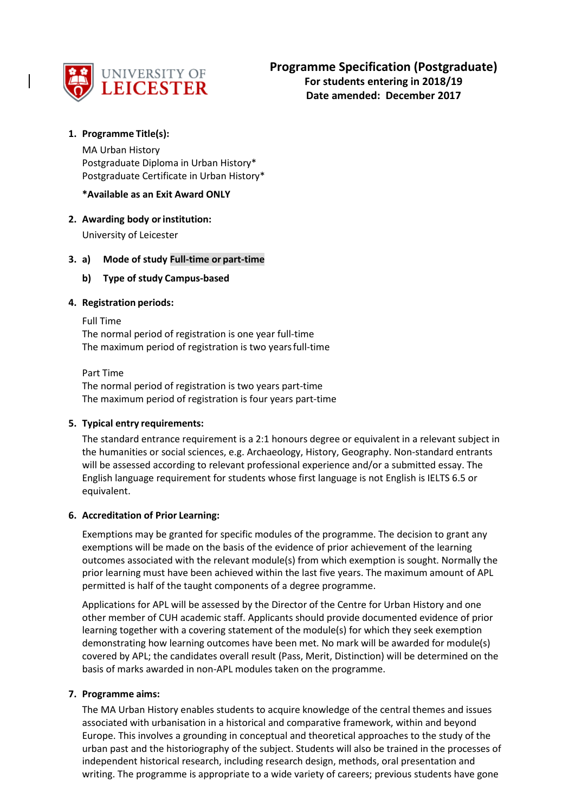

# **1. Programme Title(s):**

MA Urban History Postgraduate Diploma in Urban History\* Postgraduate Certificate in Urban History\*

## **\*Available as an Exit Award ONLY**

## **2. Awarding body orinstitution:**

University of Leicester

## **3. a) Mode of study Full-time or part-time**

## **b) Type of study Campus-based**

### **4. Registration periods:**

Full Time

The normal period of registration is one year full-time The maximum period of registration is two yearsfull-time

Part Time The normal period of registration is two years part-time The maximum period of registration is four years part-time

### **5. Typical entry requirements:**

The standard entrance requirement is a 2:1 honours degree or equivalent in a relevant subject in the humanities or social sciences, e.g. Archaeology, History, Geography. Non-standard entrants will be assessed according to relevant professional experience and/or a submitted essay. The English language requirement for students whose first language is not English is IELTS 6.5 or equivalent.

### **6. Accreditation of Prior Learning:**

Exemptions may be granted for specific modules of the programme. The decision to grant any exemptions will be made on the basis of the evidence of prior achievement of the learning outcomes associated with the relevant module(s) from which exemption is sought. Normally the prior learning must have been achieved within the last five years. The maximum amount of APL permitted is half of the taught components of a degree programme.

Applications for APL will be assessed by the Director of the Centre for Urban History and one other member of CUH academic staff. Applicants should provide documented evidence of prior learning together with a covering statement of the module(s) for which they seek exemption demonstrating how learning outcomes have been met. No mark will be awarded for module(s) covered by APL; the candidates overall result (Pass, Merit, Distinction) will be determined on the basis of marks awarded in non-APL modules taken on the programme.

### **7. Programme aims:**

The MA Urban History enables students to acquire knowledge of the central themes and issues associated with urbanisation in a historical and comparative framework, within and beyond Europe. This involves a grounding in conceptual and theoretical approaches to the study of the urban past and the historiography of the subject. Students will also be trained in the processes of independent historical research, including research design, methods, oral presentation and writing. The programme is appropriate to a wide variety of careers; previous students have gone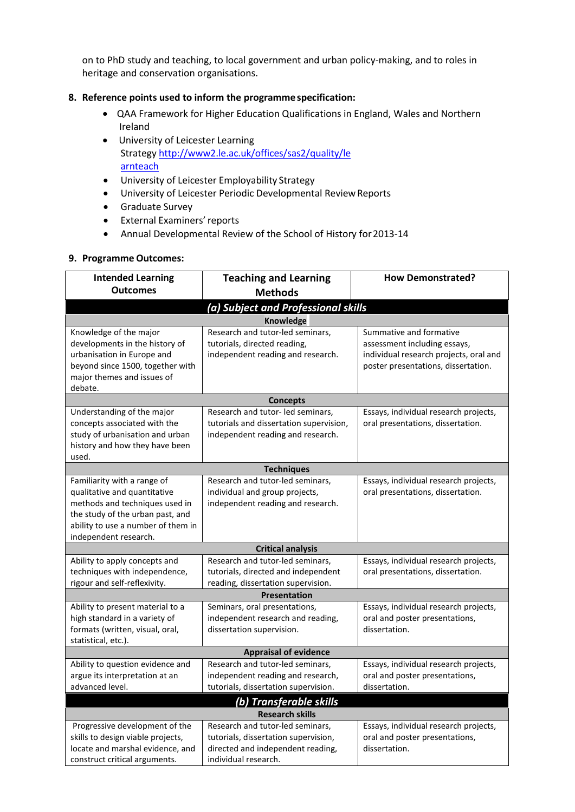on to PhD study and teaching, to local government and urban policy-making, and to roles in heritage and conservation organisations.

## **8. Reference points used to inform the programmespecification:**

- QAA Framework for Higher Education Qualifications in England, Wales and Northern Ireland
- University of Leicester Learning Strateg[y http://www2.le.ac.uk/offices/sas2/quality/le](http://www2.le.ac.uk/offices/sas2/quality/learnteach) [arnteach](http://www2.le.ac.uk/offices/sas2/quality/learnteach)
- University of Leicester Employability Strategy
- University of Leicester Periodic Developmental Review Reports
- Graduate Survey
- External Examiners'reports
- Annual Developmental Review of the School of History for2013-14

### **9. Programme Outcomes:**

| <b>Intended Learning</b>                                                                                                                                                                         | <b>Teaching and Learning</b>                                                                                                          | <b>How Demonstrated?</b>                                                                                                                 |  |  |  |  |  |  |  |
|--------------------------------------------------------------------------------------------------------------------------------------------------------------------------------------------------|---------------------------------------------------------------------------------------------------------------------------------------|------------------------------------------------------------------------------------------------------------------------------------------|--|--|--|--|--|--|--|
| <b>Outcomes</b>                                                                                                                                                                                  | <b>Methods</b>                                                                                                                        |                                                                                                                                          |  |  |  |  |  |  |  |
| (a) Subject and Professional skills                                                                                                                                                              |                                                                                                                                       |                                                                                                                                          |  |  |  |  |  |  |  |
| Knowledge                                                                                                                                                                                        |                                                                                                                                       |                                                                                                                                          |  |  |  |  |  |  |  |
| Knowledge of the major<br>developments in the history of<br>urbanisation in Europe and<br>beyond since 1500, together with<br>major themes and issues of<br>debate.                              | Research and tutor-led seminars,<br>tutorials, directed reading,<br>independent reading and research.                                 | Summative and formative<br>assessment including essays,<br>individual research projects, oral and<br>poster presentations, dissertation. |  |  |  |  |  |  |  |
|                                                                                                                                                                                                  | <b>Concepts</b>                                                                                                                       |                                                                                                                                          |  |  |  |  |  |  |  |
| Understanding of the major<br>concepts associated with the<br>study of urbanisation and urban<br>history and how they have been<br>used.                                                         | Research and tutor- led seminars,<br>tutorials and dissertation supervision,<br>independent reading and research.                     | Essays, individual research projects,<br>oral presentations, dissertation.                                                               |  |  |  |  |  |  |  |
|                                                                                                                                                                                                  | <b>Techniques</b>                                                                                                                     |                                                                                                                                          |  |  |  |  |  |  |  |
| Familiarity with a range of<br>qualitative and quantitative<br>methods and techniques used in<br>the study of the urban past, and<br>ability to use a number of them in<br>independent research. | Research and tutor-led seminars,<br>individual and group projects,<br>independent reading and research.                               | Essays, individual research projects,<br>oral presentations, dissertation.                                                               |  |  |  |  |  |  |  |
|                                                                                                                                                                                                  | <b>Critical analysis</b>                                                                                                              |                                                                                                                                          |  |  |  |  |  |  |  |
| Ability to apply concepts and<br>techniques with independence,<br>rigour and self-reflexivity.                                                                                                   | Research and tutor-led seminars,<br>tutorials, directed and independent<br>reading, dissertation supervision.                         | Essays, individual research projects,<br>oral presentations, dissertation.                                                               |  |  |  |  |  |  |  |
|                                                                                                                                                                                                  | <b>Presentation</b>                                                                                                                   |                                                                                                                                          |  |  |  |  |  |  |  |
| Ability to present material to a<br>high standard in a variety of<br>formats (written, visual, oral,<br>statistical, etc.).                                                                      | Seminars, oral presentations,<br>independent research and reading,<br>dissertation supervision.                                       | Essays, individual research projects,<br>oral and poster presentations,<br>dissertation.                                                 |  |  |  |  |  |  |  |
| <b>Appraisal of evidence</b>                                                                                                                                                                     |                                                                                                                                       |                                                                                                                                          |  |  |  |  |  |  |  |
| Ability to question evidence and<br>argue its interpretation at an<br>advanced level.                                                                                                            | Research and tutor-led seminars,<br>independent reading and research,<br>tutorials, dissertation supervision.                         | Essays, individual research projects,<br>oral and poster presentations,<br>dissertation.                                                 |  |  |  |  |  |  |  |
| (b) Transferable skills                                                                                                                                                                          |                                                                                                                                       |                                                                                                                                          |  |  |  |  |  |  |  |
| <b>Research skills</b>                                                                                                                                                                           |                                                                                                                                       |                                                                                                                                          |  |  |  |  |  |  |  |
| Progressive development of the<br>skills to design viable projects,<br>locate and marshal evidence, and<br>construct critical arguments.                                                         | Research and tutor-led seminars,<br>tutorials, dissertation supervision,<br>directed and independent reading,<br>individual research. | Essays, individual research projects,<br>oral and poster presentations,<br>dissertation.                                                 |  |  |  |  |  |  |  |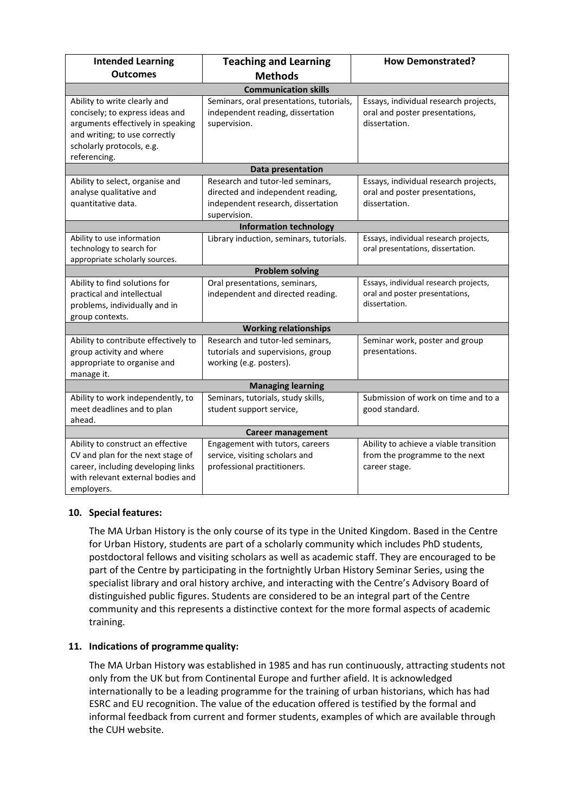| <b>Intended Learning</b>             | <b>Teaching and Learning</b>             | <b>How Demonstrated?</b>               |  |  |  |  |  |  |  |
|--------------------------------------|------------------------------------------|----------------------------------------|--|--|--|--|--|--|--|
| <b>Outcomes</b>                      | <b>Methods</b>                           |                                        |  |  |  |  |  |  |  |
| <b>Communication skills</b>          |                                          |                                        |  |  |  |  |  |  |  |
| Ability to write clearly and         | Seminars, oral presentations, tutorials, | Essays, individual research projects,  |  |  |  |  |  |  |  |
| concisely; to express ideas and      | independent reading, dissertation        | oral and poster presentations,         |  |  |  |  |  |  |  |
| arguments effectively in speaking    | supervision.                             | dissertation.                          |  |  |  |  |  |  |  |
| and writing; to use correctly        |                                          |                                        |  |  |  |  |  |  |  |
| scholarly protocols, e.g.            |                                          |                                        |  |  |  |  |  |  |  |
| referencing.                         |                                          |                                        |  |  |  |  |  |  |  |
|                                      | Data presentation                        |                                        |  |  |  |  |  |  |  |
| Ability to select, organise and      | Research and tutor-led seminars,         | Essays, individual research projects,  |  |  |  |  |  |  |  |
| analyse qualitative and              | directed and independent reading,        | oral and poster presentations,         |  |  |  |  |  |  |  |
| quantitative data.                   | independent research, dissertation       | dissertation.                          |  |  |  |  |  |  |  |
|                                      | supervision.                             |                                        |  |  |  |  |  |  |  |
|                                      | <b>Information technology</b>            |                                        |  |  |  |  |  |  |  |
| Ability to use information           | Library induction, seminars, tutorials.  | Essays, individual research projects,  |  |  |  |  |  |  |  |
| technology to search for             |                                          | oral presentations, dissertation.      |  |  |  |  |  |  |  |
| appropriate scholarly sources.       |                                          |                                        |  |  |  |  |  |  |  |
| <b>Problem solving</b>               |                                          |                                        |  |  |  |  |  |  |  |
| Ability to find solutions for        | Oral presentations, seminars,            | Essays, individual research projects,  |  |  |  |  |  |  |  |
| practical and intellectual           | independent and directed reading.        | oral and poster presentations,         |  |  |  |  |  |  |  |
| problems, individually and in        |                                          | dissertation.                          |  |  |  |  |  |  |  |
| group contexts.                      |                                          |                                        |  |  |  |  |  |  |  |
|                                      | <b>Working relationships</b>             |                                        |  |  |  |  |  |  |  |
| Ability to contribute effectively to | Research and tutor-led seminars,         | Seminar work, poster and group         |  |  |  |  |  |  |  |
| group activity and where             | tutorials and supervisions, group        | presentations.                         |  |  |  |  |  |  |  |
| appropriate to organise and          | working (e.g. posters).                  |                                        |  |  |  |  |  |  |  |
| manage it.                           |                                          |                                        |  |  |  |  |  |  |  |
| <b>Managing learning</b>             |                                          |                                        |  |  |  |  |  |  |  |
| Ability to work independently, to    | Seminars, tutorials, study skills,       | Submission of work on time and to a    |  |  |  |  |  |  |  |
| meet deadlines and to plan           | student support service,                 | good standard.                         |  |  |  |  |  |  |  |
| ahead.                               |                                          |                                        |  |  |  |  |  |  |  |
| <b>Career management</b>             |                                          |                                        |  |  |  |  |  |  |  |
| Ability to construct an effective    | Engagement with tutors, careers          | Ability to achieve a viable transition |  |  |  |  |  |  |  |
| CV and plan for the next stage of    | service, visiting scholars and           | from the programme to the next         |  |  |  |  |  |  |  |
| career, including developing links   | professional practitioners.              | career stage.                          |  |  |  |  |  |  |  |
| with relevant external bodies and    |                                          |                                        |  |  |  |  |  |  |  |
| employers.                           |                                          |                                        |  |  |  |  |  |  |  |

# **10. Special features:**

The MA Urban History is the only course of its type in the United Kingdom. Based in the Centre for Urban History, students are part of a scholarly community which includes PhD students, postdoctoral fellows and visiting scholars as well as academic staff. They are encouraged to be part of the Centre by participating in the fortnightly Urban History Seminar Series, using the specialist library and oral history archive, and interacting with the Centre's Advisory Board of distinguished public figures. Students are considered to be an integral part of the Centre community and this represents a distinctive context for the more formal aspects of academic training.

# **11. Indications of programme quality:**

The MA Urban History was established in 1985 and has run continuously, attracting students not only from the UK but from Continental Europe and further afield. It is acknowledged internationally to be a leading programme for the training of urban historians, which has had ESRC and EU recognition. The value of the education offered is testified by the formal and informal feedback from current and former students, examples of which are available through the CUH website.